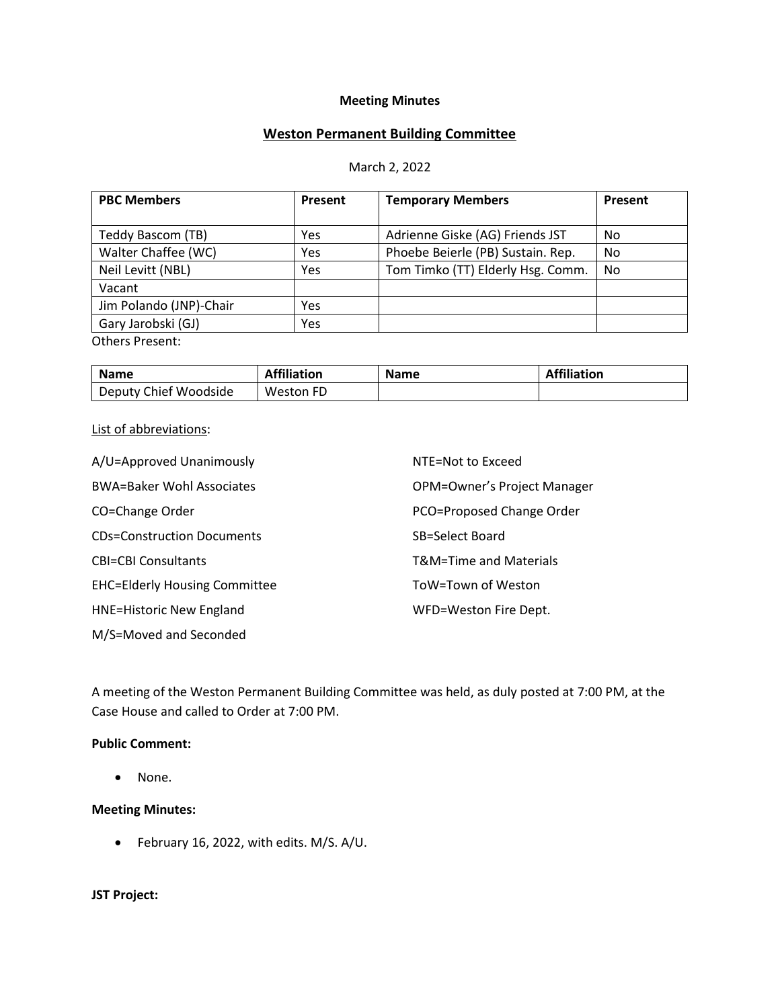### **Meeting Minutes**

# **Weston Permanent Building Committee**

#### March 2, 2022

| <b>PBC Members</b>      | Present | <b>Temporary Members</b>          | Present |
|-------------------------|---------|-----------------------------------|---------|
|                         |         |                                   |         |
| Teddy Bascom (TB)       | Yes     | Adrienne Giske (AG) Friends JST   | No      |
| Walter Chaffee (WC)     | Yes     | Phoebe Beierle (PB) Sustain. Rep. | No      |
| Neil Levitt (NBL)       | Yes     | Tom Timko (TT) Elderly Hsg. Comm. | No      |
| Vacant                  |         |                                   |         |
| Jim Polando (JNP)-Chair | Yes     |                                   |         |
| Gary Jarobski (GJ)      | Yes     |                                   |         |
| <b>Others Present:</b>  |         |                                   |         |

| <b>Name</b>           | <b>Affiliation</b> | <b>Name</b> | <b>Affiliation</b> |
|-----------------------|--------------------|-------------|--------------------|
| Deputy Chief Woodside | Weston<br>FD.      |             |                    |

#### List of abbreviations:

| A/U=Approved Unanimously             | NTE=Not to Exceed           |
|--------------------------------------|-----------------------------|
| <b>BWA=Baker Wohl Associates</b>     | OPM=Owner's Project Manager |
| CO=Change Order                      | PCO=Proposed Change Order   |
| <b>CDs=Construction Documents</b>    | SB=Select Board             |
| <b>CBI=CBI Consultants</b>           | T&M=Time and Materials      |
| <b>EHC=Elderly Housing Committee</b> | ToW=Town of Weston          |
| <b>HNE=Historic New England</b>      | WFD=Weston Fire Dept.       |
| M/S=Moved and Seconded               |                             |

A meeting of the Weston Permanent Building Committee was held, as duly posted at 7:00 PM, at the Case House and called to Order at 7:00 PM.

### **Public Comment:**

• None.

#### **Meeting Minutes:**

• February 16, 2022, with edits. M/S. A/U.

## **JST Project:**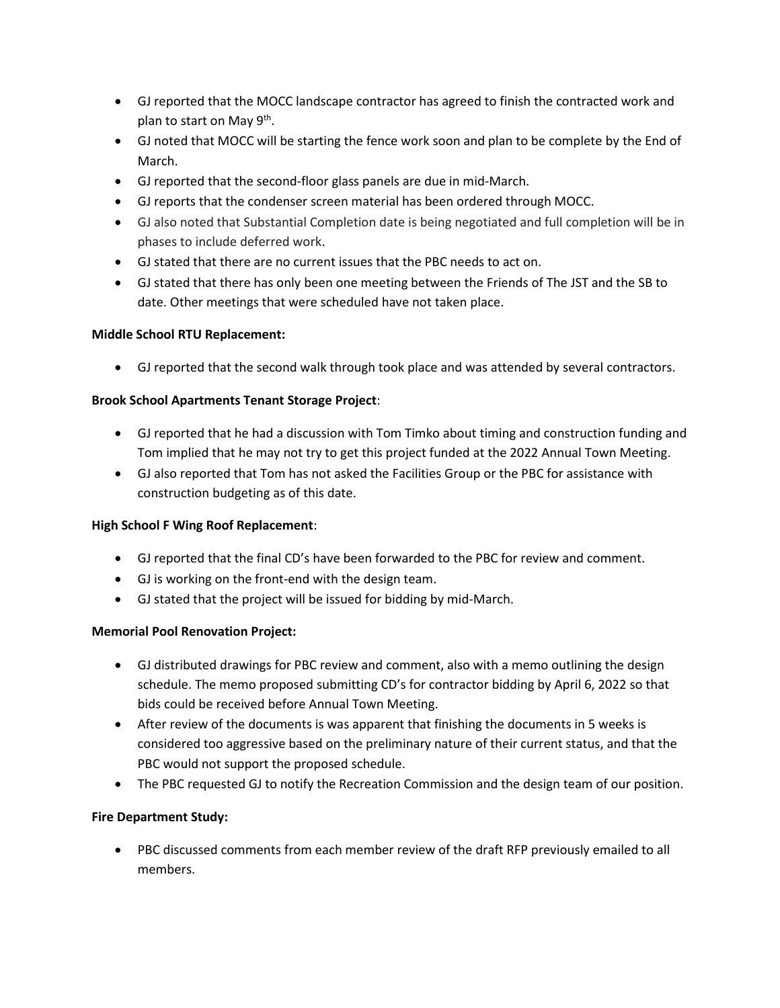- GJ reported that the MOCC landscape contractor has agreed to finish the contracted work and plan to start on May 9<sup>th</sup>.
- GJ noted that MOCC will be starting the fence work soon and plan to be complete by the End of March.
- GJ reported that the second-floor glass panels are due in mid-March.
- GJ reports that the condenser screen material has been ordered through MOCC.
- GJ also noted that Substantial Completion date is being negotiated and full completion will be in phases to include deferred work.
- GJ stated that there are no current issues that the PBC needs to act on.
- GJ stated that there has only been one meeting between the Friends of The JST and the SB to date. Other meetings that were scheduled have not taken place.

# **Middle School RTU Replacement:**

• GJ reported that the second walk through took place and was attended by several contractors.

# **Brook School Apartments Tenant Storage Project**:

- GJ reported that he had a discussion with Tom Timko about timing and construction funding and Tom implied that he may not try to get this project funded at the 2022 Annual Town Meeting.
- GJ also reported that Tom has not asked the Facilities Group or the PBC for assistance with construction budgeting as of this date.

# **High School F Wing Roof Replacement**:

- GJ reported that the final CD's have been forwarded to the PBC for review and comment.
- GJ is working on the front-end with the design team.
- GJ stated that the project will be issued for bidding by mid-March.

# **Memorial Pool Renovation Project:**

- GJ distributed drawings for PBC review and comment, also with a memo outlining the design schedule. The memo proposed submitting CD's for contractor bidding by April 6, 2022 so that bids could be received before Annual Town Meeting.
- After review of the documents is was apparent that finishing the documents in 5 weeks is considered too aggressive based on the preliminary nature of their current status, and that the PBC would not support the proposed schedule.
- The PBC requested GJ to notify the Recreation Commission and the design team of our position.

# **Fire Department Study:**

• PBC discussed comments from each member review of the draft RFP previously emailed to all members.